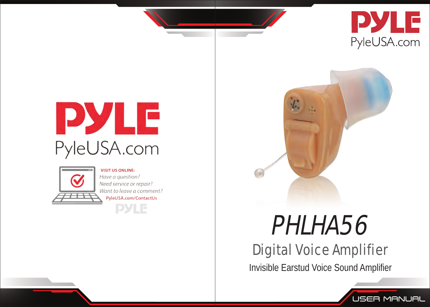

**USER MANUAL** 

# PYLE PyleUSA.com



**VISIT US ONLINE** Have a guestion? Need service or repair? Want to leave a comment? PyleUSA.com/ContactUs **PYLE** 



# PHLHA56

# Digital Voice Amplifier

Invisible Earstud Voice Sound Amplifier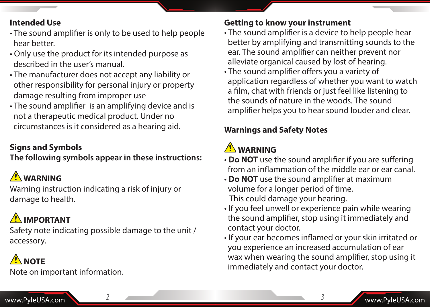#### **Intended Use**

- The sound amplifier is only to be used to help people hear better.
- Only use the product for its intended purpose as described in the user's manual.
- The manufacturer does not accept any liability or other responsibility for personal injury or property damage resulting from improper use
- The sound amplifier is an amplifying device and is not a therapeutic medical product. Under no circumstances is it considered as a hearing aid.

## **Signs and Symbols**

#### **The following symbols appear in these instructions:**

# **WARNING**

Warning instruction indicating a risk of injury or damage to health.

# **IMPORTANT**

Safety note indicating possible damage to the unit / accessory.

# **ANOTE**

Note on important information.

#### **Getting to know your instrument**

- The sound amplifier is a device to help people hear better by amplifying and transmitting sounds to the ear. The sound amplifier can neither prevent nor alleviate organical caused by lost of hearing.
- The sound amplifier offers you a variety of application regardless of whether you want to watch a film, chat with friends or just feel like listening to the sounds of nature in the woods. The sound amplifier helps you to hear sound louder and clear.

## **Warnings and Safety Notes**

# **WARNING**

- **Do NOT** use the sound amplifier if you are suffering from an inflammation of the middle ear or ear canal.
- **Do NOT** use the sound amplifier at maximum volume for a longer period of time. This could damage your hearing.
- If you feel unwell or experience pain while wearing the sound amplifier, stop using it immediately and contact your doctor.
- If your ear becomes inflamed or your skin irritated or you experience an increased accumulation of ear wax when wearing the sound amplifier, stop using it immediately and contact your doctor.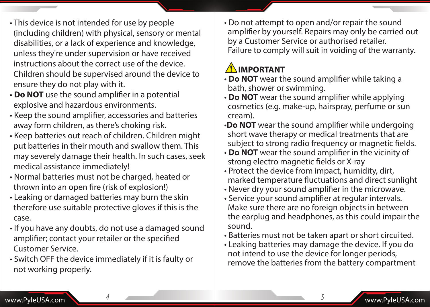- This device is not intended for use by people (including children) with physical, sensory or mental disabilities, or a lack of experience and knowledge, unless they're under supervision or have received instructions about the correct use of the device. Children should be supervised around the device to ensure they do not play with it.
- **Do NOT** use the sound amplifier in a potential explosive and hazardous environments.
- Keep the sound amplifier, accessories and batteries away form children, as there's choking risk.
- Keep batteries out reach of children. Children might put batteries in their mouth and swallow them. This may severely damage their health. In such cases, seek medical assistance immediately!
- Normal batteries must not be charged, heated or thrown into an open fire (risk of explosion!)
- Leaking or damaged batteries may burn the skin therefore use suitable protective gloves if this is the case.
- If you have any doubts, do not use a damaged sound amplifier; contact your retailer or the specified Customer Service.
- Switch OFF the device immediately if it is faulty or not working properly.

• Do not attempt to open and/or repair the sound amplifier by yourself. Repairs may only be carried out by a Customer Service or authorised retailer. Failure to comply will suit in voiding of the warranty.

# **IMPORTANT**

- **Do NOT** wear the sound amplifier while taking a bath, shower or swimming.
- **Do NOT** wear the sound amplifier while applying cosmetics (e.g. make-up, hairspray, perfume or sun cream).
- •**Do NOT** wear the sound amplifier while undergoing short wave therapy or medical treatments that are subject to strong radio frequency or magnetic fields.
- **Do NOT** wear the sound amplifier in the vicinity of strong electro magnetic fields or X-ray
- Protect the device from impact, humidity, dirt, marked temperature fluctuations and direct sunlight
- Never dry your sound amplifier in the microwave.
- Service your sound amplifier at regular intervals. Make sure there are no foreign objects in between the earplug and headphones, as this could impair the sound.
- Batteries must not be taken apart or short circuited.
- Leaking batteries may damage the device. If you do not intend to use the device for longer periods, remove the batteries from the battery compartment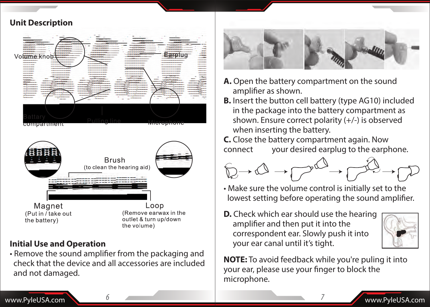

#### **Initial Use and Operation**

• Remove the sound amplifier from the packaging and check that the device and all accessories are included and not damaged.



- **A.** Open the battery compartment on the sound amplifier as shown.
- **B.** Insert the button cell battery (type AG10) included in the package into the battery compartment as shown. Ensure correct polarity (+/-) is observed when inserting the battery.
- **C.** Close the battery compartment again. Now connect your desired earplug to the earphone.



- Make sure the volume control is initially set to the lowest setting before operating the sound amplifier.
- **D.** Check which ear should use the hearing amplifier and then put it into the correspondent ear. Slowly push it into your ear canal until it's tight.



**NOTE:** To avoid feedback while you're puling it into your ear, please use your finger to block the microphone.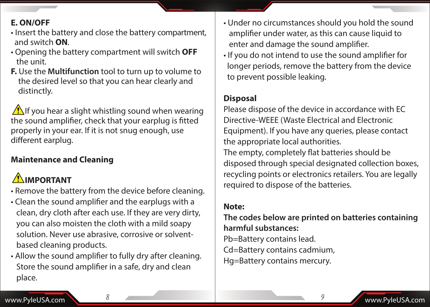#### **E. ON/OFF**

- Insert the battery and close the battery compartment, and switch **ON**.
- Opening the battery compartment will switch **OFF** the unit.
- **F.** Use the **Multifunction** tool to turn up to volume to the desired level so that you can hear clearly and distinctly.

**1** If you hear a slight whistling sound when wearing the sound amplifier, check that your earplug is fitted properly in your ear. If it is not snug enough, use different earplug.

## **Maintenance and Cleaning**

# **IMPORTANT**

- Remove the battery from the device before cleaning.
- Clean the sound amplifier and the earplugs with a clean, dry cloth after each use. If they are very dirty, you can also moisten the cloth with a mild soapy solution. Never use abrasive, corrosive or solvent based cleaning products.
- Allow the sound amplifier to fully dry after cleaning. Store the sound amplifier in a safe, dry and clean place.
- Under no circumstances should you hold the sound amplifier under water, as this can cause liquid to enter and damage the sound amplifier.
- If you do not intend to use the sound amplifier for longer periods, remove the battery from the device to prevent possible leaking.

#### **Disposal**

Please dispose of the device in accordance with EC Directive-WEEE (Waste Electrical and Electronic Equipment). If you have any queries, please contact the appropriate local authorities. The empty, completely flat batteries should be disposed through special designated collection boxes, recycling points or electronics retailers. You are legally required to dispose of the batteries.

#### **Note:**

**The codes below are printed on batteries containing harmful substances:**

Pb=Battery contains lead.

Cd=Battery contains cadmium,

Hg=Battery contains mercury.